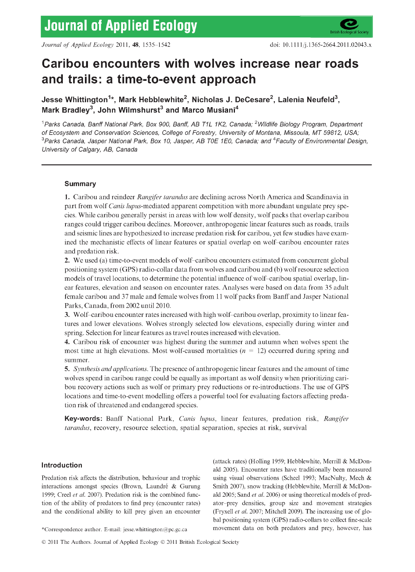# **Caribou encounters with wolves increase near roads and trails: a time-to-event approach**

**Jesse Whittington^\*, Mark Hebbiewhite^, Nichoias J. DeCesare^, Laienia Neufeid^,** Mark Bradley<sup>3</sup>, John Wilmshurst<sup>3</sup> and Marco Musiani<sup>4</sup>

<sup>1</sup> Parks Canada, Banff National Park, Box 900, Banff, AB T1L 1K2, Canada; <sup>2</sup>Wildlife Biology Program, Department *of Ecosystem and Conservation Sciences, College of Forestry, University of Montana, Missoula, MT 59812, USA; '^Parks Canada, Jasper National Park, Box 10, Jasper, AB TOE 1E0, Canada; and ^Faculty of Environmental Design, University of Calgary, AB, Canada*

# **Summary**

**1. Caribou and reindeer** *Rangifer tarandus* **are declining across North America and Scandinavia in** part from wolf *Canis lupus*-mediated apparent competition with more abundant ungulate prey spe**cies. While caribou generally persist in areas with low w olf density, w olf packs that overlap caribou ranges could trigger caribou declines. Moreover, anthropogenic linear features such as roads, trails and seismic lines are hypothesized to increase predation risk for caribou, yet few studies have examined the mechanistic elfects of linear features or spatial overlap on wolf-caribou encounter rates and predation risk.**

**2. We used (a) time-to-event models of wolf-caribou encounters estimated from concurrent global positioning system (GPS) radio-collar data from wolves and caribou and (b) wolf resource selection models of travel locations, to determine the potential influence of wolf-caribou spatial overlap, linear features, elevation and season on encounter rates. Analyses were based on data from** 35 **adult female caribou and** 37 **male and female wolves from 11 w olf packs from Banfl" and Jasper National Parks, Canada, from 2002 until 2010.**

**3. W olf-caribou encounter rates increased with high wolf-caribou overlap, proximity to linear features and lower elevations. Wolves strongly selected low elevations, especially during winter and spring. Selection for linear features as travel routes increased with elevation.**

**4.** Caribou risk of encounter was highest during the summer and autumn when wolves spent the most time at high elevations. Most wolf-caused mortalities  $(n = 12)$  occurred during spring and **summer.**

**5.** *Synthesis and applications.* **The presence of anthropogenic linear features and the amount of time wolves spend in caribou range could be equally as important as wolf density when prioritizing cari**bou recovery actions such as wolf or primary prey reductions or re-introductions. The use of GPS locations and time-to-event modelling offers a powerful tool for evaluating factors affecting preda**tion risk of threatened and endangered species.**

**Key-words: Banff National Park,** *Canis lupus,* **linear features, predation risk,** *Rangifer tarandus,* **recovery, resource selection, spatial separation, species at risk, survival**

# **Introduction**

Predation risk affects the distribution, behaviour and trophic interactions amongst species (Brown, Laundré & Gurung 1999; Creel *et at.* 2007). Predation risk is the combined function of the ability of predators to find prey (encounter rates) and the conditional ability to kill prey given an encounter (attack rates) (Holling 1959; Hebblewhite, Merrill & McDonald 2005). Encounter rates have traditionally been measured using visual observations (Scheel 1993; MacNulty, Mech & Smith 2007), snow tracking (Hebblewhite, Merrill & McDonald 2005; Sand *et at.* 2006) or using theoretical models of predator-prey densities, group size and movement strategies (Fryxell *et at.* 2007; Mitchell 2009). The increasing use of global positioning system (GPS) radio-collars to collect fine-scale movement data on both predators and prey, however, has

\*Correspondence author. E-mail: [jesse.whittington@pc.gc.ca](mailto:jesse.whittington@pc.gc.ca)

© 2011 The Authors. Journal of Applied Ecology © 2011 British Ecological Society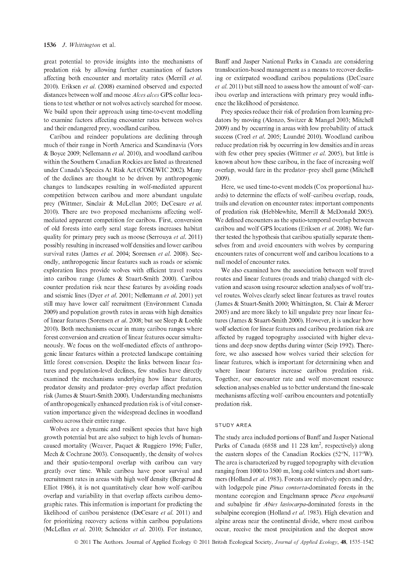great potential to provide insights into the mechanisms of predation risk by allowing further examination of factors affecting both encounter and mortality rates (Merrill *et al.* 2010). Eriksen *et al.* (2008) examined observed and expected distances between wolf and moose *Alces alces* GPS collar locations to test whether or not wolves actively searched for moose. We build upon their approach using time-to-event modelling to examine factors affecting encounter rates between wolves and their endangered prey, woodland caribou.

Caribou and reindeer populations are declining through much of their range in North America and Scandinavia (Vors & Boyce 2009; Nellemann *et al.* 2010), and woodland caribou within the Southern Canadian Rockies are listed as threatened under Canada's Species At Risk Act (COSBWIC 2002). Many of the declines are thought to be driven by anthropogenic changes to landscapes resulting in wolf-mediated apparent competition between caribou and more abundant ungulate prey (Wittmer, Sinclair & McLellan 2005; DeCesare *et al.* 2010). There are two proposed mechanisms affecting wolfmediated apparent competition for caribou. First, conversion of old forests into early serai stage forests increases habitat quality for primary prey such as moose (Serrouya *et al.* 2011) possibly resulting in increased wolf densities and lower caribou survival rates (James *et al.* 2004; Sorensen *et al.* 2008). Secondly, anthropogenic linear features such as roads or seismic exploration lines provide wolves with efficient travel routes into caribou range (James & Stuart-Smith 2000). Caribou counter predation risk near these features by avoiding roads and seismic lines (Dyer *et al.* 2001; Nellemann *et al.* 2001) yet still may have lower calf recruitment (Environment Canada 2009) and population growth rates in areas with high densities of linear features (Sorensen *et al.* 2008; but see Sleep & Loehle 2010). Both mechanisms occur in many caribou ranges where forest conversion and creation of linear features occur simultaneously. We focus on the wolf-mediated effects of anthropogenic linear features within a protected landscape containing little forest conversion. Despite the links between linear features and population-level declines, few studies have directly examined the mechanisms underlying how linear features, predator density and predator-prey overlap affect predation risk (James & Stuart-Smith 2000). Understanding mechanisms of anthropogenically enhanced predation risk is of vital conservation importance given the widespread declines in woodland caribou across their entire range.

Wolves are a dynamic and resilient species that have high growth potential but are also subject to high levels of humancaused mortality (Weaver, Paquet & Ruggiero 1996; Fuller, Mech & Cochrane 2003). Consequently, the density of wolves and their spatio-temporal overlap with caribou can vary greatly over time. While caribou have poor survival and recruitment rates in areas with high wolf density (Bergerud & Elliot 1986), it is not quantitatively clear how wolf-caribou overlap and variability in that overlap affects caribou demographic rates. This information is important for predicting the likelihood of caribou persistence (DeCesare *et al.* 2011) and for prioritizing recovery actions within caribou populations (McLellan *et al.* 2010; Schneider *et al.* 2010). For instance.

Banff and Jasper National Parks in Canada are considering translocation-based management as a means to recover declining or extirpated woodland caribou populations (DeCesare *et al.* 2011) but still need to assess how the amount of wolf-caribou overlap and interactions with primary prey would influence the likelihood of persistence.

Prey species reduce their risk of predation from learning predators by moving (Alonzo, Switzer & Mangel 2003; Mitchell 2009) and by occurring in areas with low probability of attack success (Creel *et al.* 2005; Laundré 2010). Woodland caribou reduce predation risk by occurring in low densities and in areas with few other prey species (Wittmer *et al.* 2005), but little is known about how these caribou, in the face of increasing wolf overlap, would fare in the predator-prey shell game (Mitchell 2009).

Here, we used time-to-event models (Cox proportional hazards) to determine the effects of wolf-caribou overlap, roads, trails and elevation on encounter rates: important components of predation risk (Hebblewhite, Merrill & McDonald 2005). We defined encounters as the spatio-temporal overlap between caribou and wolf GPS locations (Eriksen *et al.* 2008). We further tested the hypothesis that caribou spatially separate themselves from and avoid encounters with wolves by comparing encounters rates of concurrent wolf and caribou locations to a null model of encounter rates.

We also examined how the association between wolf travel routes and linear features (roads and trials) changed with elevation and season using resource selection analyses of wolf travel routes. Wolves clearly select linear features as travel routes (James & Stuart-Smith 2000; Whittington, St. Clair & Mercer 2005) and are more likely to kill ungulate prey near linear features (James & Stuart-Smith 2000). However, it is unclear how wolf selection for linear features and caribou predation risk are affected by rugged topography associated with higher elevations and deep snow depths during winter (Seip 1992). Therefore, we also assessed how wolves varied their selection for linear features, which is important for determining when and where linear features increase caribou predation risk. Together, our encounter rate and wolf movement resource selection analyses enabled us to better understand the fine-scale mechanisms affecting wolf-caribou encounters and potentially predation risk.

### STUDY AREA

The study area included portions of Banff and Jasper National Parks of Canada (6858 and 11 228  $km^2$ , respectively) along the eastern slopes of the Canadian Rockies (52°N, 117°W). The area is characterized by rugged topography with elevation ranging from 1000 to 3500 m, long cold winters and short summers (Holland *et al.* 1983). Forests are relatively open and dry, with lodgepole pine *Pinus contorta*-dominated forests in the montane ecoregion and Engelmann spruce *Picea engelmanii* and subalpine fir *Abies lasiocarpa-dommated* forests in the subalpine ecoregion (Holland *et al.* 1983). High elevation and alpine areas near the continental divide, where most caribou occur, receive the most precipitation and the deepest snow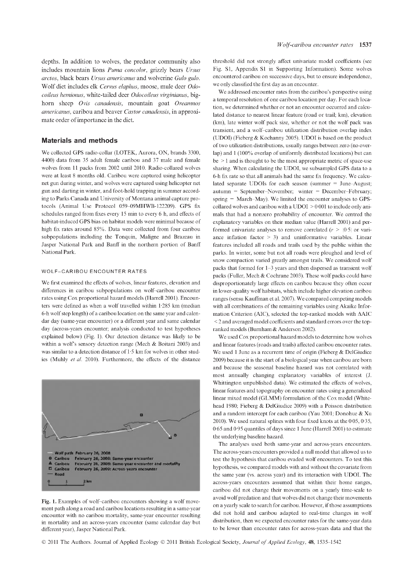depths. In addition to wolves, the predator community also includes mountain lions *Puma concolor,* grizzly bears *Ursus arctos,* black bears *Ursus americanus* and wolverine *Gulo gulo.* Wolf diet includes elk *Cervus elaphus,* moose, mule deer *Odocoileus hemionus,* white-tailed deer *Odocoileus virginianus,* bighorn sheep *Ovis canadensis,* mountain goat *Oreamnos americanus,* caribou and beaver *Castor canadensis,* in approximate order of importance in the diet.

## **Materials and methods**

We collected GPS radio-collar (LOTEK, Aurora, ON, brands 3300, 4400) data from 35 adult female caribou and 37 male and female wolves from 11 packs from 2002 until 2010. Radio-collared wolves were at least 8 months old. Caribou were captured using helicopter net gun during winter, and wolves were captured using helicopter net gun and darting in winter, and foot-hold trapping in summer according to Parks Canada and University of Montana animal capture protocols (Animal Use Protocol 059-09MHWB-122209). GPS fix schedules ranged from fixes every 15 min to every 6 h, and effects of habitat-induced GPS bias on habitat models were minimal because of high fix rates around 85%. Data were collected from four caribou subpopulations including the Tonquin, Maligne and Brazeau in Jasper National Park and Banff in the northern portion of Banff National Park.

# WOLF-CARIBOU ENCOUNTER RATES

We first examined the effects of wolves, linear features, elevation and differences in caribou subpopulations on wolf-caribou encounter rates using Cox proportional hazard models (Harrell 2001). Encounters were defined as when a wolf travelled within 1-285 km (median 6-h wolf step length) of a caribou location on the same year and calendar day (same-year encounter) or a different year and same calendar day (across-years encounter; analysis conducted to test hypotheses explained below) (Fig. 1). Our detection distance was likely to be within a wolf's sensory detection range (Mech & Boitani 2003) and was similar to a detection distance of 1 -5 km for wolves in other studies (Muhly *et al.* 2010). Furthermore, the effects of the distance



**Fig. 1.** Examples of wolf-caribou encounters showing a wolf movement path along a road and caribou locations resulting in a same-year encounter with no caribou mortality, same-year encounter resulting in mortality and an across-years encounter (same calendar day but different year), Jasper National Park.

threshold did not strongly affect univariate model coefficients (see Fig. SI, Appendix SI in Supporting Information). Some wolves encountered caribou on successive days, but to ensure independence, we only classified the first day as an encounter.

We addressed encounter rates from the caribou's perspective using a temporal resolution of one caribou location per day. For each location, we determined whether or not an encounter occurred and calculated distance to nearest linear feature (road or trail; km), elevation (km), late winter wolf pack size, whether or not the wolf pack was transient, and a wolf-caribou utilization distribution overlap index (UDOI) (Fieberg & Kochanny 2005). UDOI is based on the product of two utilization distributions, usually ranges between zero (no overlap) and 1 (100% overlap of uniformly distributed locations) but can be > 1 and is thought to be the most appropriate metric of space-use sharing. When calculating the UDOI, we subsampled GPS data to a 6-h fix rate so that all animals had the same fix frequency. We calculated separate UDOIs for each season (summer = June-August; autumn = September-November; winter = December-February; spring = March-May). We limited the encounter analyses to GPScollared wolves and caribou with a UDOI > 0-001 to include only animals that had a nonzero probability of encounter. We centred the explanatory variables on their median value (Harrell 2001) and performed univariate analyses to remove correlated  $(r > |0.5|$  or variance inflation factor  $> 3$ ) and uninformative variables. Linear features included all roads and trails used by the public within the parks. In winter, some but not all roads were ploughed and level of snow compaction varied greatly amongst trails. We considered wolf packs that formed for 1-3 years and then dispersed as transient wolf packs (Fuller, Mech & Cochrane 2003). These wolf packs could have disproportionately large effects on caribou because they often occur in lower-quality wolf habitats, which include higher elevation caribou ranges (sensu Kauffman et al. 2007). We compared competing models with all combinations of the remaining variables using Akaike Information Criterion (AIC), selected the top-ranked models with AAIC < 2 and averaged model coefficients and standard errors over the topranked models (Burnham & Anderson 2002).

We used Cox proportional hazard models to determine how wolves and linear features (roads and trails) affected caribou encounter rates. We used 1 June as a recurrent time of origin (Fieberg & DelGiudice 2009) because it is the start of a biological year when caribou are born and because the seasonal baseline hazard was not correlated with most annually changing explanatory variables of interest (I. Whittington unpublished data). We estimated the effects of wolves, linear features and topography on encounter rates using a generalized linear mixed model (GLMM) formulation of the Cox model (Whitehead 1980; Fieberg & DelGiudice 2009) with a Poisson distribution and a random intercept for each caribou (Yau 2001; Donohue & Xu 2010). We used natural splines with four fixed knots at the 0-05, 0-35, 0-65 and 0-95 quantiles of days since 1 June (Harrell 2001) to estimate the underlying baseline hazard.

The analyses used both same-year and across-years encounters. The across-years encounters provided a null model that allowed us to test the hypothesis that caribou evaded wolf encounters. To test this hypothesis, we compared models with and without the covariate from the same year (vs. across year) and its interaction with UDOI. The across-years encounters assumed that within their home ranges, caribou did not change their movements on a yearly time-scale to avoid wolf predation and that wolves did not change their movements on a yearly scale to search for caribou. However, if those assumptions did not hold and caribou adapted to real-time changes in wolf distribution, then we expected encounter rates for the same-year data to be lower than encounter rates for across-years data and that the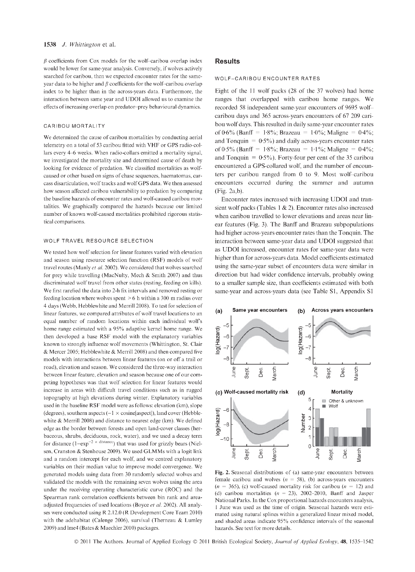$\beta$  coefficients from Cox models for the wolf-caribou overlap index would be lower for same-year analysis. Conversely, if wolves actively searched for caribou, then we expected encounter rates for the sameyear data to be higher and  $\beta$  coefficients for the wolf-caribou overlap index to be higher than in the across-years data. Furthermore, the interaction between same year and UDOI allowed us to examine the effects of increasing overlap on predator-prey behavioural dynamics.

## CARIBOU MORTALITY

We determined the cause of caribou mortalities by conducting aerial telemetry on a total of 53 caribou htted with VHF or GPS radio-collars every 4-6 weeks. When radio-collars emitted a mortality signal, we investigated the mortality site and determined cause of death by looking for evidence of predation. We classihed mortalities as wolfcaused or other based on signs of chase sequences, haematomas, carcass disarticulation, wolf tracks and wolf GPS data. We then assessed how season affected caribou vulnerability to predation by comparing the baseline hazards of encounter rates and wolf-caused caribou mortalities. We graphically compared the hazards because our limited number of known wolf-caused mortalities prohibited rigorous statistical comparisons.

## WOLF TRAVEL RESOURCE SELECTION

We tested how wolf selection for linear features varied with elevation and season using resource selection function (RSF) models of wolf travel routes (Manly *et al.* 2002). We considered that wolves searched for prey while travelling (MacNulty, Mech & Smith 2007) and thus discriminated wolf travel from other states (resting, feeding on kills). We first rarefied the data into 2-h fix intervals and removed resting or feeding location where wolves spent  $> 6$  h within a 300 m radius over 4 days (Webb, Hebblewhite and Merrill 2008). To test for selection of linear features, we compared attributes of wolf travel locations to an equal number of random locations within each individual wolfs home range estimated with a 95% adaptive kernel home range. We then developed a base RSF model with the explanatory variables known to strongly influence wolf movements (Whittington, St. Clair & Mercer 2005; Hebblewhite & Merrill 2008) and then compared five models with interactions between linear features (on or off a trail or road), elevation and season. We considered the three-way interaction between linear feature, elevation and season because one of our competing hypotheses was that wolf selection for linear features would increase in areas with difficult travel conditions such as in rugged topography at high elevations during winter. Explanatory variables used in the baseline RSF model were as follows: elevation (km), slope (degrees), southern aspects  $(-1 \times \text{cosine[aspect]})$ , land cover (Hebblewhite & Merrill 2008) and distance to nearest edge (km). We defined edge as the border between forests and open land-cover classes (herbaceous, shrubs, deciduous, rock, water), and we used a decay term for distance  $(1 - \exp^{-2} \times \text{distance})$  that was used for grizzly bears (Nielsen, Cranston & Stenhouse 2009). We used GLMMs with a logit link and a random intercept for each wolf, and we centred explanatory variables on their median value to improve model convergence. We generated models using data from 30 randomly selected wolves and validated the models with the remaining seven wolves using the area under the receiving operating characteristic curve (ROC) and the Spearman rank correlation coefficients between bin rank and areaadjusted frequencies of used locations (Boyce *et al.* 2002). All analyses were conducted using R 2.12.0 (R Development Core Team 2010) with the adehabitat (Calenge 2006), survival (Therneau & Lumley 2009) and lme4 (Bates & Maechler 2010) packages.

# **Results**

#### WOLF-CARIBOU ENCOUNTER RATES

Eight of the 11 wolf packs (28 of the 37 wolves) had home ranges that overlapped with caribou home ranges. We recorded 58 independent same-year encounters of 9695 wolfcaribou days and 365 across-years encounters of 67 209 caribou wolf days. This resulted in daily same-year encounter rates of 0.6% (Banff = 1.8%; Brazeau = 1.0%; Maligne = 0.4%; and Tonquin  $= 0.5\%$ ) and daily across-years encounter rates of 0.5% (Banff = 1.8%; Brazeau = 1.1%; Maligne = 0.4%; and Tonquin =  $0.5\%$ ). Forty-four per cent of the 35 caribou encountered a GPS-collared wolf, and the number of encounters per caribou ranged from 0 to 9. Most wolf-caribou encounters occurred during the summer and autumn (Fig. 2a,b).

Encounter rates increased with increasing UDOI and transient wolf packs (Tables 1 & 2). Encounter rates also increased when caribou travelled to lower elevations and areas near linear features (Fig. 3). The Banff and Brazeau subpopulations had higher across-years encounter rates than the Tonquin. The interaction between same-year data and UDOI suggested that as UDOI increased, encounter rates for same-year data were higher than for across-years data. Model coefficients estimated using the same-year subset of encounters data were similar in direction but had wider confidence intervals, probably owing to a smaller sample size, than coefficients estimated with both same-year and across-years data (see Table SI, Appendix SI



**Fig. 2.** Seasonal distributions of (a) same-year encounters between female caribou and wolves  $(n = 58)$ , (b) across-years encounters  $(n = 365)$ , (c) wolf-caused mortality risk for caribou  $(n = 12)$  and (d) caribou mortalities *(n =* 23), 2002-2010, Banff and Jasper National Parks. In the Cox proportional hazards encounters analysis, 1 June was used as the time of origin. Seasonal hazards were estimated using natural splines within a generalized linear mixed model, and shaded areas indicate 95% confidence intervals of the seasonal hazards. See text for more details.

© 2011 The Authors. Journal of Applied Ecology © 2011 British Ecological Society, *Journal of Applied Ecology*, 48, 1535-1542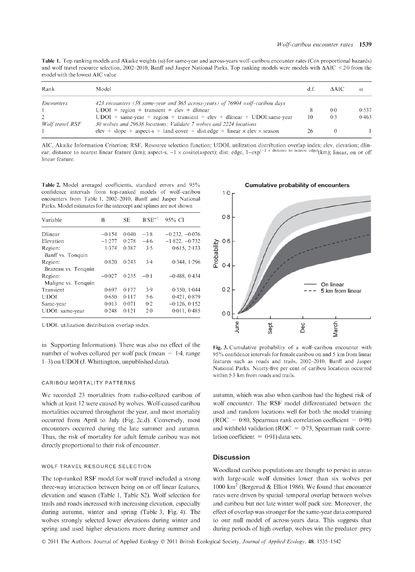Table 1. Top ranking models and Akaike weights ( $\omega$ ) for same-year and across-years wolf-caribou encounter rates (Cox proportional hazards) and wolf travel resource selection, 2002-2010, Banff and Jasper National Parks. Top ranking models were models with  $\Delta AIC$  < 2.0 from the model with the lowest AIC value

| Rank              | Model                                                                                                                                           |    | AAIC | $\omega$ |
|-------------------|-------------------------------------------------------------------------------------------------------------------------------------------------|----|------|----------|
| <i>Encounters</i> | 423 encounters (58 same-year and 365 across-years) of 76904 wolf-caribou days                                                                   |    |      |          |
|                   | $UDOI + region + transient + elev + dlinear$                                                                                                    |    | 0.0  | 0.537    |
| Wolf travel RSF   | $UDOI + same-year + region + transient + elev + dlinear + UDOIsame-year$<br>30 wolves and 29638 locations; Validate 7 wolves and 2224 locations | 10 | 0.3  | 0.463    |
|                   | elev + slope + aspect-s + land cover + dist.edge + linear $\times$ elev $\times$ season                                                         | 26 |      |          |

AIC, Akaike Information Criterion; RSF, Resource selection function; UDOI, utilization distribution overlap index; elev, elevation; dlinear, distance to nearest linear feature (km); aspect-s,  $-1 \times \text{cosine}$  (aspect); dist. edge,  $1-\exp^{(-2 \times \text{distance to nearest edge})}$  (km); linear, on or off linear feature.

**Table 2.** Model averaged coefficients, standard errors and 95% confidence intervals from top-ranked models of wolf-caribou encounters from Table 1, 2002-2010, Banff and Jasper National Parks. Model estimates for the intercept and splines are not shown

| Variable            | B        | SE.   | $B-SE^{-1}$ | 95% CI           |
|---------------------|----------|-------|-------------|------------------|
| Dlinear             | $-0.154$ | 0.040 | $-3.8$      | $-0.232, -0.076$ |
| Elevation           | $-1.277$ | 0.278 | $-4.6$      | $-1.822, -0.732$ |
| Region:             | 1.374    | 0.387 | 3.5         | 0.615, 2.133     |
| Banff vs. Tonquin   |          |       |             |                  |
| Region:             | 0.820    | 0.243 | 3.4         | 0.344.1296       |
| Brazeau vs. Tonquin |          |       |             |                  |
| Region:             | $-0.027$ | 0.235 | $-0.1$      | $-0.488, 0.434$  |
| Maligne vs. Tonquin |          |       |             |                  |
| Transient           | 0.697    | 0.177 | 3.9         | 0.350, 1.044     |
| <b>UDOI</b>         | 0.650    | 0.117 | 5.6         | 0.421, 0.879     |
| Same-year           | 0.013    | 0.071 | 0.2         | $-0.126, 0.152$  |
| UDOI: same-year     | 0.248    | 0.121 | $2-0$       | 0.011, 0.485     |

UDOI, utilization distribution overlap index.

in Supporting Information). There was also no effect of the number of wolves collared per wolf pack (mean  $= 1.4$ , range 1-3) on UDOI (J. Whittington, unpublished data).

### CARIBOU MORTALITY PATTERNS

We recorded 23 mortalities from radio-collared caribou of which at least 12 were caused by wolves. Wolf-caused caribou mortalities occurred throughout the year, and most mortality occurred from April to July (Fig. 2c,d). Conversely, most encounters occurred during the late summer and autumn. Thus, the risk of mortality for adult female caribou was not directly proportional to their risk of encounter.

# WOLF TRAVEL RESOURCE SELECTION

The top-ranked RSF model for wolf travel included a strong three-way interaction between being on or off linear features, elevation and season (Table 1, Table S2). Wolf selection for trails and roads increased with increasing elevation, especially during autumn, winter and spring (Table 3, Fig. 4). The wolves strongly selected lower elevations during winter and spring and used higher elevations more during summer and

#### **Cumulative probability of encounters**



**Fig. 3.** Cumulative probability of a wolf-caribou encounter with 95% conhdence intervals for female caribou on and 5 km from linear features such as roads and trails, 2002-2010, Banff and Jasper National Parks. Ninety-hve per cent of caribou locations occurred within 5-3 km from roads and trails.

autumn, which was also when caribou had the highest risk of wolf encounter. The RSF model differentiated between the used and random locations well for both the model training (ROC =  $0.80$ , Spearman rank correlation coefficient =  $0.98$ ) and withheld validation ( $ROC = 0.73$ , Spearman rank correlation coefficient =  $0.91$ ) data sets.

# **Discussion**

Woodland caribou populations are thought to persist in areas with large-scale wolf densities lower than six wolves per 1000 km<sup>2</sup> (Bergerud & Elliot 1986). We found that encounter rates were driven by spatial-temporal overlap between wolves and caribou but not late winter wolf pack size. Moreover, the effect of overlap was stronger for the same-year data compared to our null model of across-years data. This suggests that during periods of high overlap, wolves win the predator-prey

© 2011 The Authors. Journal of Applied Ecology © 2011 British Ecological Society, *Journal of Applied Ecology,* **48**, 1535-1542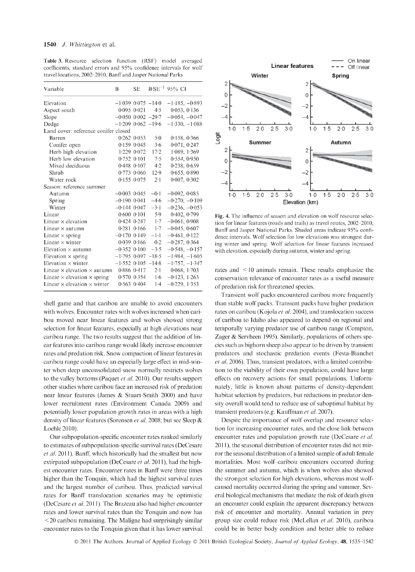Table 3. Resource selection function (RSF) model averaged coefficients, standard errors and 95% confidence intervals for wolf travel locations, 2002-2010, Banff and Jasper National Parks

| Variable                                  | B                        | <b>SE</b>       |                       | $B-SE^{-1}$ 95% CI |
|-------------------------------------------|--------------------------|-----------------|-----------------------|--------------------|
| Elevation                                 | $-1.039$ 0.075 $-14.0$   |                 |                       | $-1.185, -0.893$   |
| Aspect south                              |                          | 0.0950021       | 4.5                   | 0.053, 0.136       |
| Slope                                     | $-0.050$ $0.002$ $-29.7$ |                 |                       | $-0.054, -0.047$   |
| Dedge                                     | $-1.209$ 0.062 $-19.6$   |                 |                       | $-1.330, -1.088$   |
| Land cover: reference conifer closed      |                          |                 |                       |                    |
| Barren                                    |                          | $0.262$ $0.053$ | 5.0                   | 0.158, 0.366       |
| Conifer open                              |                          | $0.159$ $0.045$ | 3.6                   | 0.071, 0.247       |
| Herb high elevation                       |                          | $1.229$ 0.072   | 17.2                  | 1.089, 1.369       |
| Herb low elevation                        |                          | $0.752$ $0.101$ | 7.5                   | 0.554, 0.950       |
| Mixed deciduous                           |                          | $0.448$ $0.107$ | 4.2                   | 0.238, 0.659       |
| Shrub                                     |                          | $0.773$ $0.060$ | 12.9                  | 0.655, 0.890       |
| Water rock                                |                          | $0.155$ $0.075$ | $2 \cdot 1$           | 0.007, 0.302       |
| Season: reference summer                  |                          |                 |                       |                    |
| Autumn                                    | $-0.003$ 0.045           |                 | $-0.1$                | $-0.092, 0.085$    |
| Spring                                    | $-0.190$ 0.041           |                 | $-4.6$                | $-0.270, -0.109$   |
| Winter                                    | $-0.144$ 0.047           |                 | $-3.1$                | $-0.236, -0.053$   |
| Linear                                    |                          | $0.600$ $0.101$ | 5.9                   | 0.402, 0.799       |
| Linear $\times$ elevation                 |                          |                 | $0.424$ $0.247$ $1.7$ | $-0.061, 0.908$    |
| Linear $\times$ autumn                    |                          | $0.281$ $0.166$ | 1.7                   | $-0.045, 0.607$    |
| Linear $\times$ spring                    | $-0.170$ 0.149           |                 | $-1-1$                | $-0.461, 0.122$    |
| Linear $\times$ winter                    |                          | $0.039$ $0.166$ | 0.2                   | $-0.287, 0.364$    |
| Elevation $\times$ autumn                 | $-0.352$ $0.100$         |                 | $-3.5$                | $-0.548, -0.157$   |
| Elevation $\times$ spring                 | $-1.795$ 0.097 $-18.5$   |                 |                       | $-1.984, -1.605$   |
| Elevation $\times$ winter                 | $-1.552$ 0.105 $-14.8$   |                 |                       | $-1.757, -1.347$   |
| Linear $\times$ elevation $\times$ autumn |                          | $0.886$ $0.417$ | $2 \cdot 1$           | 0.068, 1.703       |
| Linear $\times$ elevation $\times$ spring |                          | $0.570$ $0.354$ | 1.6                   | $-0.123, 1.263$    |
| Linear $\times$ elevation $\times$ winter |                          |                 | $0.563$ $0.404$ $1.4$ | $-0.229, 1.353$    |

shell game and that caribou are unable to avoid encounters with wolves. Encounter rates with wolves increased when caribou moved near linear features and wolves showed strong selection for linear features, especially at high elevations near caribou range. The two results suggest that the addition of linear features into caribou range would likely increase encounter rates and predation risk. Snow compaction of linear features in caribou range could have an especially large effect in mid-winter when deep unconsolidated snow normally restricts wolves to the valley bottoms (Paquet *et al.* 2010). Our results support other studies where caribou face an increased risk of predation near linear features (James & Stuart-Smith 2000) and have lower recruitment rates (Environment Canada 2009) and potentially lower population growth rates in areas with a high density of linear features (Sorensen *et al.* 2008; but see Sleep & Loehle 2010).

Our subpopulation-specific encounter rates ranked similarly to estimates of subpopulation-specific survival rates (DeCesare et al. 2011). Banff, which historically had the smallest but now extirpated subpopulation (DeCesare *et al.* 2011), had the highest encounter rates. Encounter rates in Banff were three times higher than the Tonquin, which had the highest survival rates and the largest number of caribou. Thus, predicted survival rates for Banff translocation scenarios may be optimistic (DeCesare *et al.* 2011). The Brazeau also had higher encounter rates and lower survival rates than the Tonquin and now has  $\leq$  20 caribou remaining. The Maligne had surprisingly similar encounter rates to the Tonquin given that it has lower survival



Fig. 4. The influence of season and elevation on wolf resource selection for linear features (roads and trails) as travel routes, 2002-2010, Banff and Jasper National Parks. Shaded areas indicate 95% confidence intervals. Wolf selection for low elevations was strongest during winter and spring. Wolf selection for linear features increased with elevation, especially during autumn, winter and spring.

rates and < 10 animals remain. These results emphasize the conservation relevance of encounter rates as a useful measure of predation risk for threatened species.

Transient wolf packs encountered caribou more frequently than stable wolf packs. Transient packs have higher predation rates on caribou (Kojola *et al.* 2004), and translocation success of caribou to Idaho also appeared to depend on regional and temporally varying predator use of caribou range (Compton, Zager & Servheen 1995). Similarly, populations of others species such as bighorn sheep also appear to be driven by transient predators and stochastic predation events (Eesta-Bianchet *et al.* 2006). Thus, transient predators, with a limited contribution to the viability of their own population, could have large effects on recovery actions for small populations. Unfortunately, little is known about patterns of density-dependent habitat selection by predators, but reductions in predator density overall would tend to reduce use of suboptimal habitat by transient predators (e.g. Kauffman *et al.* 2007).

Despite the importance of wolf overlap and resource selection for increasing encounter rates, and the close link between encounter rates and population growth rate (DeCesare *et al.* 2011), the seasonal distribution of encounter rates did not mirror the seasonal distribution of a limited sample of adult female mortalities. Most wolf-caribou encounters occurred during the summer and autumn, which is when wolves also showed the strongest selection for high elevations, whereas most wolfcaused mortality occurred during the spring and summer. Several biological mechanisms that mediate the risk of death given an encounter could explain the apparent discrepancy between risk of encounter and mortality. Annual variation in prey group size could reduce risk (McLellan *et al.* 2010), caribou could be in better body condition and better able to reduce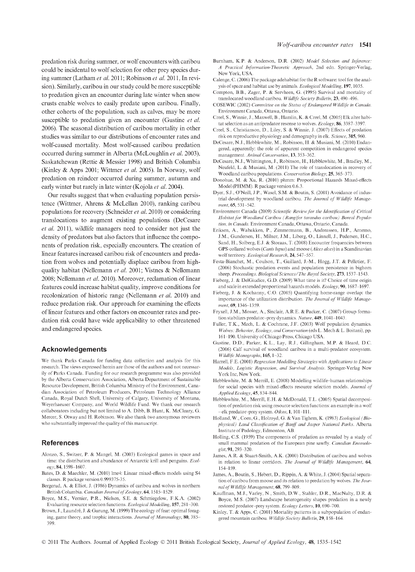predation risk during summer, or wolf encounters with caribou could be incidental to wolf selection for other prey species during summer (Latham *et al.* 2011; Robinson *et al.* 2011, In revision). Similarly, caribou in our study could be more susceptible to predation given an encounter during late winter when snow crusts enable wolves to easily predate upon caribou. Finally, other cohorts of the population, such as calves, may be more susceptible to predation given an encounter (Gustine *et al.* 2006). The seasonal distribution of caribou mortality in other studies was similar to our distributions of encounter rates and wolf-caused mortality. Most wolf-caused caribou predation occurred during summer in Alberta (McLoughlin *et al.* 2003), Saskatchewan (Rettie & Messier 1998) and British Columbia (Kinley & Apps 2001; Wittmer *et al.* 2005). In Norway, wolf predation on reindeer occurred during summer, autumn and early winter but rarely in late winter (Kojola *et al.* 2004).

Our results suggest that when evaluating population persistence (Wittmer, Ahrens & McLellan 2010), ranking caribou populations for recovery (Schneider *et al.* 2010) or considering translocations to augment existing populations (DeCesare *et al.* 2011), wildlife managers need to consider not just the density of predators but also factors that influence the components of predation risk, especially encounters. The creation of linear features increased caribou risk of encounters and predation from wolves and potentially displace caribou from highquality habitat (Nellemann *et al.* 2001; Vistnes & Nellemann 2008; Nellemann *et al.* 2010). Moreover, reclamation of linear features could increase habitat quality, improve conditions for recolonization of historic range (Nellemann *et al.* 2010) and reduce predation risk. Our approach for examining the effects of linear features and other factors on encounter rates and predation risk could have wide applicability to other threatened and endangered species.

### **Acknowledgements**

We thank Parks Canada for funding data collection and analysis for this research. The views expressed herein are those of the authors and not necessarily of Parks Canada. Funding for our research programme was also provided by the Alberta Conservation Association, Alberta Department of Sustainable Resource Development, British Columbia Ministry of the Environment, Canadian Association of Petroleum Producers, Petroleum Technology Alliance Canada, Royal Dutch Shell, University of Calgary, University of Montana, Weyerhaeuser Company, and World Wildlife Fund. We thank our research collaborators including but not limited to A. Dibb, B. Hunt, K. McCleary, G. Mercer, S. Otway and H. Robinson. We also thank two anonymous reviewers who substantially improved the quality of this manuscript.

#### **References**

- Alonzo, S., Switzer, P. & Mangel, M. (2003) Ecological games in space and time: the distribution and abundance of Antarctic krill and penguins. *Ecology,* 84,1598-1607.
- Bates, D. & Maechler, M. (2010) lme4: Linear mixed-effects models using S4 classes. R package version 0.999375-3 5.
- Bergerud, A. & Elliot, J. (1986) Dynamics of caribou and wolves in northern British Columbia. *Canadian Journal of Zoology*, 64, 1515-1529
- Boyce, M.S., Vernier, P.R., Nielsen, S.E. & Schmiegelow, E.K.A. (2002) Evaluating resource selection functions. *Ecological Modelling,* 157,281-300.
- Brown, J., Laundre, J. & Gurung, M. (1999) The ecology of fear: optimal foraging, game theory, and trophic interactions. *Journal of Mammalogy*, 80, 385-399.
- Burnham, K.P. & Anderson, D.R. (2002) *M odel Selection and Inference: A Practical Information-Theoretic Approach,* 2nd edn. Springer-Verlag, New York, USA.
- Calenge, C. (2006) The package adehabitat for the R software: tool for the analysis of space and habitat use by animals. *Ecological Modelling,* 197,1035.
- Compton, B.B., Zager, P. & Servheen, G. (1995) Survival and mortality of translocated woodland caribou. *Wildlife Society Bulletin,* 23, 490^96.
- COSEWIC (2002) Committee on the Status of Endangered Wildlife in Canada. Environment Canada, Ottawa, Ontario.
- Creel, S., Winnie, J., Maxwell, B., Hamlin, K. & Creel, M. (2005) Elk alter habitat selection as an antipredator resonse to wolves. *Ecology,* 86, 3387-3397.
- Creel, S., Christianson, D., Liley, S. & Winnie, J. (2007) Effects of predation risk on reproductive physiology and demography in elk. *Science,* 315, 960.
- DeCesare, N .J., Hebblewhite, M., Robinson, H. & Musiani, M. (2010) Endangered, apparently: the role of apparent competition in endangered species management. *Animal Conservation,* 13, 353-362.
- DeCesare, N .J., W hittington, J., Robinson, H., Hebblewhite, M., Bradley, M., Neufeld, L. & Musiani, M. (2011) The role of translocation in recovery of W oodland caribou populations. *Conservation Biology,* 25, 365-373.
- Donohue, M. & Xu, R. (2010) phmm: Proportional Hazards Mixed-effects Model (PHMM). R package version 0.6.3.
- Dyer, S.J., O'Neill, J.P., Wasel, S.M. & Boutin, S. (2001) Avoidance of industrial development by woodland caribou. The Journal of Wildlife Manage*ment,* 65, 531-542.
- Environment Canada (2009) *Scientific Review for the Identification of Critical* Habitat for Woodland Caribou (Rangifer tarandus caribou) Boreal Popula*tion, in Canada.* Environment Canada, Ottawa, Ontario, Canada.
- Eriksen, A., Wabakken, P., Zimmermann, B., Andreassen, H.P., Arnemo, J.M., Gundersen, H., Milner, J.M., Liberg, O., Linnell, J., Pedersen, H.C., Sand, H., Solberg, E.J. & Storaas, T. (2008) Encounter frequencies between GPS-collared wolves *{Canis lupus)* and moose *(Alces alces)* in a Scandinavian wolf territory. *Ecological Research,* 24, 547-557.
- Eesta-Bianchet, M., Coulson, T., Gaillard, J.-M., Hogg, J.T. & Pelletier, E. (2006) Stochastic predation events and population persistence in bighorn sheep. *Proceedings. Biological Sciences/The Royal Society,* 273, 1537-1543.
- Fieberg, J. & DelGiudice, G.D. (2009) What time is it? Choice of time origin and scale in extended proportional hazards models. *Ecology*, **90**, 1687-1697.
- Fieberg, J. & Kochanny, C.O. (2005) Quantifying home-range overlap: the importance of the utilization distribution. The Journal of Wildlife Management, 69, 1346-1359.
- Fryxell, J.M., Mosser, A., Sinclair, A.R.E. & Packer, C. (2007) Group formation stabilizes predator-prey dynamics. *Nature,* 449,1041-1043.
- Fuller, T.K., Mech, L. & Cochrane, J.E. (2003) W olf population dynamics. *Wolves: Behavior, Ecology, and Conservation* (eds L. Mech & L. Boitani), pp. 161-190. University of Chicago Press, Chicago USA.
- Gustine, D.D., Parker, K.L., Lay, R.J., Gillingham, M.P. & Heard, D.C. (2006) Calf survival of woodland caribou in a multi-predator ecosystem. *Wildlife Monographs,* 165,1-32.
- Harrell, F.E. (2001) *Regression Modelling Strategies with Applications to Linear Models, Logistic Regression, and Survival Analysis.* Springer-Verlag New York Inc, New York.
- Hebblewhite, M. & Merrill, E. (2008) Modelling wildlife-human relationships for social species with mixed-effects resource selection models. *Journal of Applied Ecology,* 45, 834-844.
- Hebblewhite, M., Merrill, E.H. & McDonald, T.L. (2005) Spatial decomposition of predation risk using resource selection functions: an example in a wolf -elk predator-prey system. Oikos, 1, 101-111.
- Holland, W., Coen, G., Holroyd, G. & Van Tighem, K. (1983) *Ecological (Bio* $physical)$  Land Classification of Banff and Jasper National Parks. Alberta Institute of Pedology, Edmonton, AB.
- Holling, C.S. (1959) The components of predation as revealed by a study of small mammal predation of the European pine sawfly. *Canadian Enomolo*gist, 91, 293-320.
- James, A.R. & Stuart-Smith, A.K. (2000) Distribution of caribou and wolves in relation to linear corridors. *The Journal of Wildlife Management*, 64, 154-159.
- James, A., Boutin, S., Hebert, D., Rippin, A. & White, J. (2004) Spatial separation of caribou from moose and its relation to predation by wolves. *The Journal of Wildlife Management*, 68, 799-809.
- Kauffman, M.J., Varley, N., Smith, D.W., Stahler, D.R., MacNulty, D.R. & Boyce, M.S. (2007) Landscape heterogeneity shapes predation in a newly restored predator-prey system. *Ecology Letters,* 10,690-700.
- Kinley, T. & Apps, C. (2001) Mortality patterns in a subpopulation of endangered mountain caribou. *Wildlife Society Bulletin,* 29,158-164.